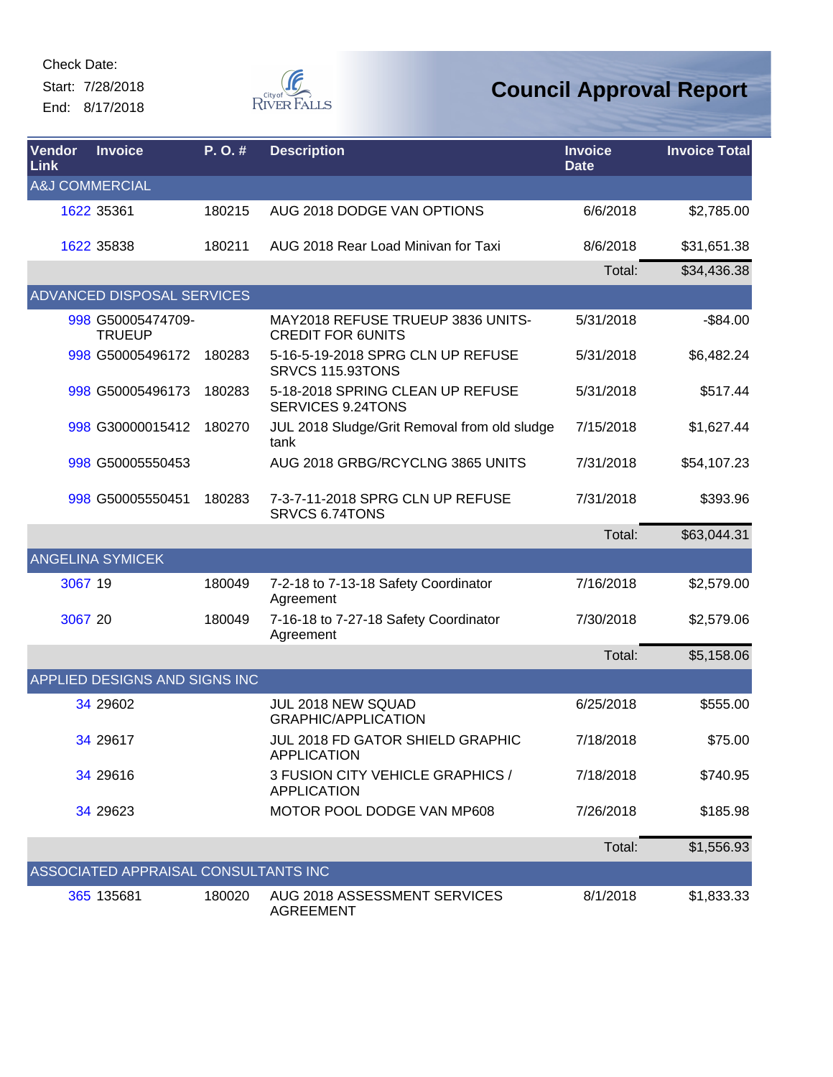Start: 7/28/2018 End: 8/17/2018



| <b>Vendor</b><br>Link     | <b>Invoice</b>                       | P.O.#  | <b>Description</b>                                            | <b>Invoice</b><br><b>Date</b> | <b>Invoice Total</b> |
|---------------------------|--------------------------------------|--------|---------------------------------------------------------------|-------------------------------|----------------------|
| <b>A&amp;J COMMERCIAL</b> |                                      |        |                                                               |                               |                      |
|                           | 1622 35361                           | 180215 | AUG 2018 DODGE VAN OPTIONS                                    | 6/6/2018                      | \$2,785.00           |
|                           | 1622 35838                           | 180211 | AUG 2018 Rear Load Minivan for Taxi                           | 8/6/2018                      | \$31,651.38          |
|                           |                                      |        |                                                               | Total:                        | \$34,436.38          |
|                           | ADVANCED DISPOSAL SERVICES           |        |                                                               |                               |                      |
|                           | 998 G50005474709-<br><b>TRUEUP</b>   |        | MAY2018 REFUSE TRUEUP 3836 UNITS-<br><b>CREDIT FOR 6UNITS</b> | 5/31/2018                     | $-$84.00$            |
|                           | 998 G50005496172                     | 180283 | 5-16-5-19-2018 SPRG CLN UP REFUSE<br>SRVCS 115.93TONS         | 5/31/2018                     | \$6,482.24           |
|                           | 998 G50005496173                     | 180283 | 5-18-2018 SPRING CLEAN UP REFUSE<br>SERVICES 9.24TONS         | 5/31/2018                     | \$517.44             |
|                           | 998 G30000015412                     | 180270 | JUL 2018 Sludge/Grit Removal from old sludge<br>tank          | 7/15/2018                     | \$1,627.44           |
|                           | 998 G50005550453                     |        | AUG 2018 GRBG/RCYCLNG 3865 UNITS                              | 7/31/2018                     | \$54,107.23          |
|                           | 998 G50005550451                     | 180283 | 7-3-7-11-2018 SPRG CLN UP REFUSE<br>SRVCS 6.74TONS            | 7/31/2018                     | \$393.96             |
|                           |                                      |        |                                                               | Total:                        | \$63,044.31          |
|                           | <b>ANGELINA SYMICEK</b>              |        |                                                               |                               |                      |
| 3067 19                   |                                      | 180049 | 7-2-18 to 7-13-18 Safety Coordinator<br>Agreement             | 7/16/2018                     | \$2,579.00           |
| 3067 20                   |                                      | 180049 | 7-16-18 to 7-27-18 Safety Coordinator<br>Agreement            | 7/30/2018                     | \$2,579.06           |
|                           |                                      |        |                                                               | Total:                        | \$5,158.06           |
|                           | APPLIED DESIGNS AND SIGNS INC        |        |                                                               |                               |                      |
|                           | 34 29602                             |        | <b>JUL 2018 NEW SQUAD</b><br><b>GRAPHIC/APPLICATION</b>       | 6/25/2018                     | \$555.00             |
|                           | 34 29617                             |        | JUL 2018 FD GATOR SHIELD GRAPHIC<br><b>APPLICATION</b>        | 7/18/2018                     | \$75.00              |
|                           | 34 29616                             |        | 3 FUSION CITY VEHICLE GRAPHICS /<br><b>APPLICATION</b>        | 7/18/2018                     | \$740.95             |
|                           | 34 29623                             |        | MOTOR POOL DODGE VAN MP608                                    | 7/26/2018                     | \$185.98             |
|                           |                                      |        |                                                               | Total:                        | \$1,556.93           |
|                           | ASSOCIATED APPRAISAL CONSULTANTS INC |        |                                                               |                               |                      |
|                           | 365 135681                           | 180020 | AUG 2018 ASSESSMENT SERVICES<br><b>AGREEMENT</b>              | 8/1/2018                      | \$1,833.33           |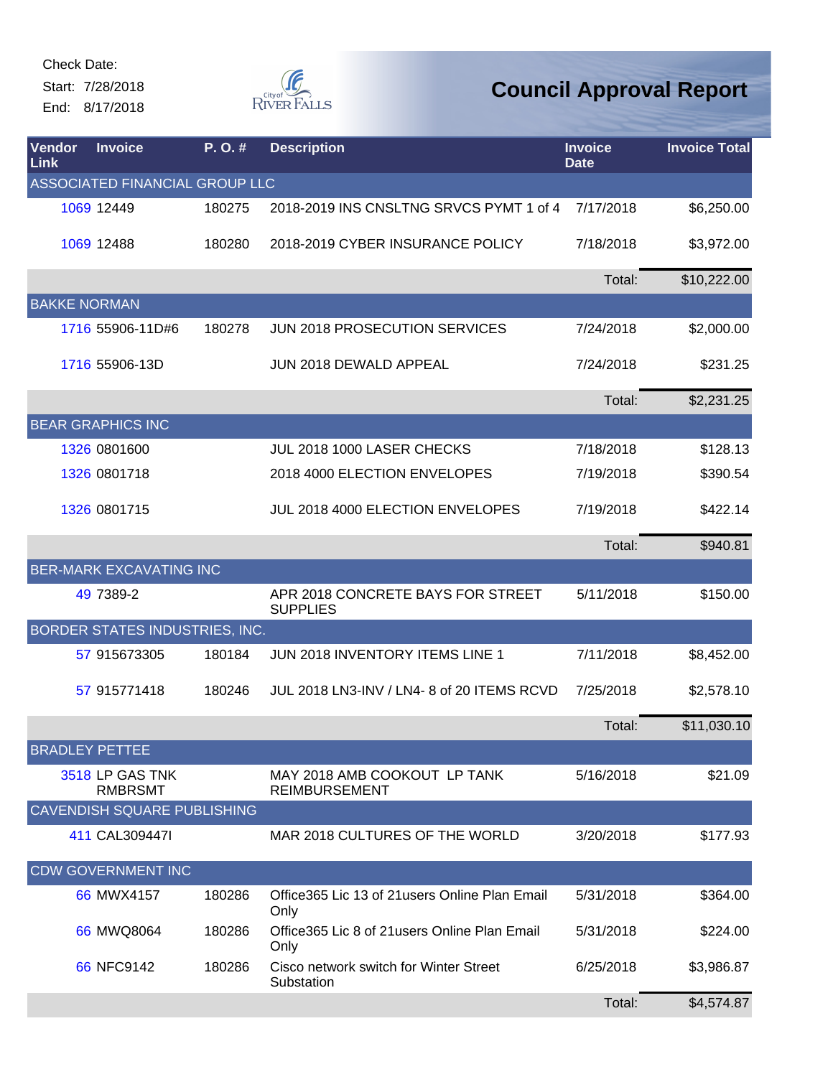Start: 7/28/2018 End: 8/17/2018



| Vendor<br>Link        | <b>Invoice</b>                        | P.O.#  | <b>Description</b>                                      | <b>Invoice</b><br><b>Date</b> | <b>Invoice Total</b> |
|-----------------------|---------------------------------------|--------|---------------------------------------------------------|-------------------------------|----------------------|
|                       | ASSOCIATED FINANCIAL GROUP LLC        |        |                                                         |                               |                      |
|                       | 1069 12449                            | 180275 | 2018-2019 INS CNSLTNG SRVCS PYMT 1 of 4                 | 7/17/2018                     | \$6,250.00           |
|                       | 1069 12488                            | 180280 | 2018-2019 CYBER INSURANCE POLICY                        | 7/18/2018                     | \$3,972.00           |
|                       |                                       |        |                                                         | Total:                        | \$10,222.00          |
| <b>BAKKE NORMAN</b>   |                                       |        |                                                         |                               |                      |
|                       | 1716 55906-11D#6                      | 180278 | JUN 2018 PROSECUTION SERVICES                           | 7/24/2018                     | \$2,000.00           |
|                       | 1716 55906-13D                        |        | JUN 2018 DEWALD APPEAL                                  | 7/24/2018                     | \$231.25             |
|                       |                                       |        |                                                         | Total:                        | \$2,231.25           |
|                       | <b>BEAR GRAPHICS INC</b>              |        |                                                         |                               |                      |
|                       | 1326 0801600                          |        | JUL 2018 1000 LASER CHECKS                              | 7/18/2018                     | \$128.13             |
|                       | 1326 0801718                          |        | 2018 4000 ELECTION ENVELOPES                            | 7/19/2018                     | \$390.54             |
|                       | 1326 0801715                          |        | JUL 2018 4000 ELECTION ENVELOPES                        | 7/19/2018                     | \$422.14             |
|                       |                                       |        |                                                         | Total:                        | \$940.81             |
|                       | <b>BER-MARK EXCAVATING INC</b>        |        |                                                         |                               |                      |
|                       | 49 7389-2                             |        | APR 2018 CONCRETE BAYS FOR STREET<br><b>SUPPLIES</b>    | 5/11/2018                     | \$150.00             |
|                       | <b>BORDER STATES INDUSTRIES, INC.</b> |        |                                                         |                               |                      |
|                       | 57 915673305                          | 180184 | JUN 2018 INVENTORY ITEMS LINE 1                         | 7/11/2018                     | \$8,452.00           |
|                       | 57 915771418                          | 180246 | JUL 2018 LN3-INV / LN4- 8 of 20 ITEMS RCVD              | 7/25/2018                     | \$2,578.10           |
|                       |                                       |        |                                                         | Total:                        | \$11,030.10          |
| <b>BRADLEY PETTEE</b> |                                       |        |                                                         |                               |                      |
|                       | 3518 LP GAS TNK<br><b>RMBRSMT</b>     |        | MAY 2018 AMB COOKOUT LP TANK<br><b>REIMBURSEMENT</b>    | 5/16/2018                     | \$21.09              |
|                       | CAVENDISH SQUARE PUBLISHING           |        |                                                         |                               |                      |
|                       | 411 CAL309447I                        |        | MAR 2018 CULTURES OF THE WORLD                          | 3/20/2018                     | \$177.93             |
|                       | <b>CDW GOVERNMENT INC</b>             |        |                                                         |                               |                      |
|                       | 66 MWX4157                            | 180286 | Office 365 Lic 13 of 21 users Online Plan Email<br>Only | 5/31/2018                     | \$364.00             |
|                       | 66 MWQ8064                            | 180286 | Office365 Lic 8 of 21 users Online Plan Email<br>Only   | 5/31/2018                     | \$224.00             |
|                       | 66 NFC9142                            | 180286 | Cisco network switch for Winter Street<br>Substation    | 6/25/2018                     | \$3,986.87           |
|                       |                                       |        |                                                         | Total:                        | \$4,574.87           |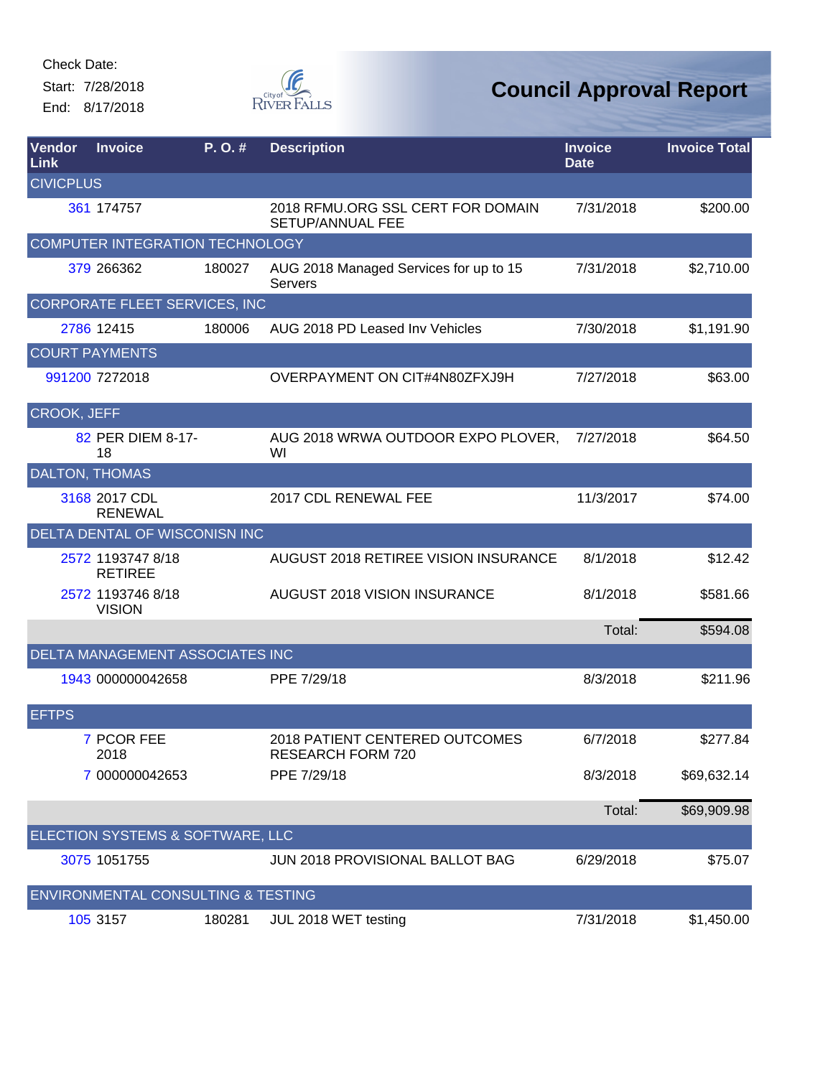Start: 7/28/2018 End: 8/17/2018



| Vendor<br>Link     | <b>Invoice</b>                                | P.O.#  | <b>Description</b>                                           | <b>Invoice</b><br><b>Date</b> | <b>Invoice Total</b> |
|--------------------|-----------------------------------------------|--------|--------------------------------------------------------------|-------------------------------|----------------------|
| <b>CIVICPLUS</b>   |                                               |        |                                                              |                               |                      |
|                    | 361 174757                                    |        | 2018 RFMU.ORG SSL CERT FOR DOMAIN<br><b>SETUP/ANNUAL FEE</b> | 7/31/2018                     | \$200.00             |
|                    | <b>COMPUTER INTEGRATION TECHNOLOGY</b>        |        |                                                              |                               |                      |
|                    | 379 266362                                    | 180027 | AUG 2018 Managed Services for up to 15<br>Servers            | 7/31/2018                     | \$2,710.00           |
|                    | CORPORATE FLEET SERVICES, INC                 |        |                                                              |                               |                      |
|                    | 2786 12415                                    | 180006 | AUG 2018 PD Leased Inv Vehicles                              | 7/30/2018                     | \$1,191.90           |
|                    | <b>COURT PAYMENTS</b>                         |        |                                                              |                               |                      |
|                    | 991200 7272018                                |        | OVERPAYMENT ON CIT#4N80ZFXJ9H                                | 7/27/2018                     | \$63.00              |
| <b>CROOK, JEFF</b> |                                               |        |                                                              |                               |                      |
|                    | 82 PER DIEM 8-17-<br>18                       |        | AUG 2018 WRWA OUTDOOR EXPO PLOVER,<br>WI                     | 7/27/2018                     | \$64.50              |
|                    | DALTON, THOMAS                                |        |                                                              |                               |                      |
|                    | 3168 2017 CDL<br><b>RENEWAL</b>               |        | 2017 CDL RENEWAL FEE                                         | 11/3/2017                     | \$74.00              |
|                    | DELTA DENTAL OF WISCONISN INC                 |        |                                                              |                               |                      |
|                    | 2572 1193747 8/18<br><b>RETIREE</b>           |        | AUGUST 2018 RETIREE VISION INSURANCE                         | 8/1/2018                      | \$12.42              |
|                    | 2572 1193746 8/18<br><b>VISION</b>            |        | AUGUST 2018 VISION INSURANCE                                 | 8/1/2018                      | \$581.66             |
|                    |                                               |        |                                                              | Total:                        | \$594.08             |
|                    | DELTA MANAGEMENT ASSOCIATES INC               |        |                                                              |                               |                      |
|                    | 1943 000000042658                             |        | PPE 7/29/18                                                  | 8/3/2018                      | \$211.96             |
| <b>EFTPS</b>       |                                               |        |                                                              |                               |                      |
|                    | 7 PCOR FEE<br>2018                            |        | 2018 PATIENT CENTERED OUTCOMES<br><b>RESEARCH FORM 720</b>   | 6/7/2018                      | \$277.84             |
|                    | 7 000000042653                                |        | PPE 7/29/18                                                  | 8/3/2018                      | \$69,632.14          |
|                    |                                               |        |                                                              | Total:                        | \$69,909.98          |
|                    | ELECTION SYSTEMS & SOFTWARE, LLC              |        |                                                              |                               |                      |
|                    | 3075 1051755                                  |        | JUN 2018 PROVISIONAL BALLOT BAG                              | 6/29/2018                     | \$75.07              |
|                    | <b>ENVIRONMENTAL CONSULTING &amp; TESTING</b> |        |                                                              |                               |                      |
|                    | 105 3157                                      | 180281 | JUL 2018 WET testing                                         | 7/31/2018                     | \$1,450.00           |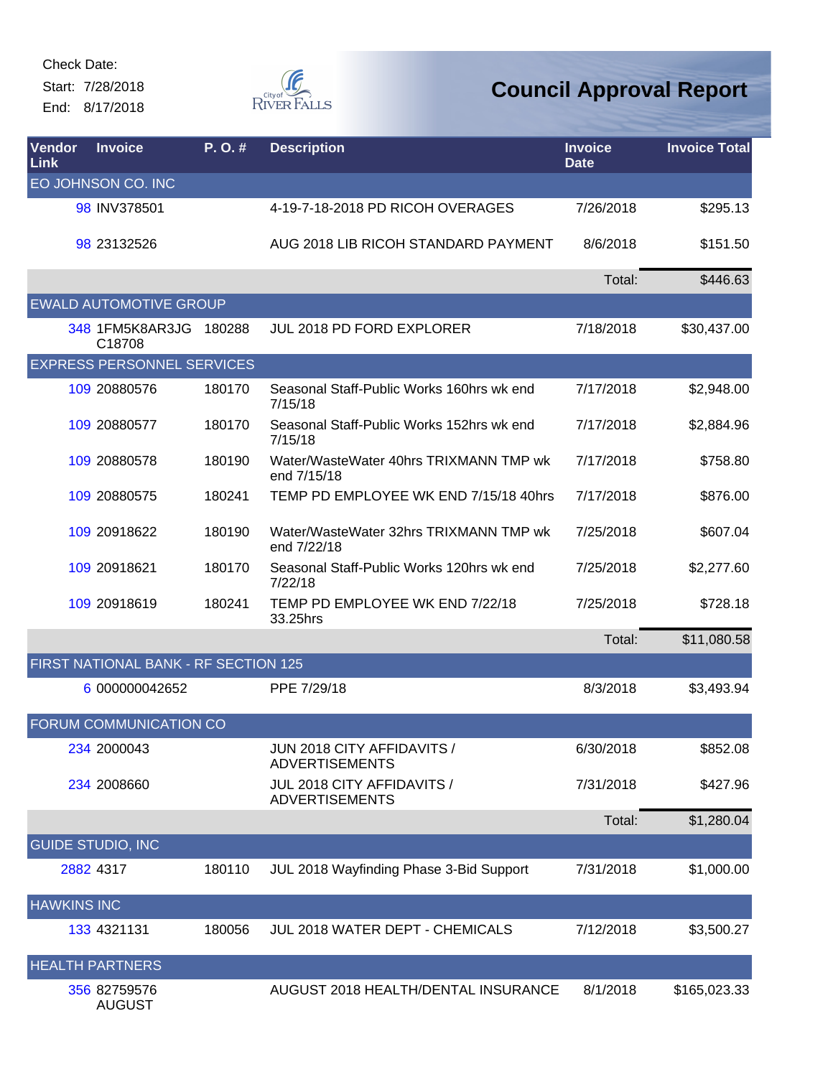Start: 7/28/2018 End: 8/17/2018



| Vendor<br>Link     | <b>Invoice</b>                       | P.O.#  | <b>Description</b>                                    | <b>Invoice</b><br><b>Date</b> | <b>Invoice Total</b> |
|--------------------|--------------------------------------|--------|-------------------------------------------------------|-------------------------------|----------------------|
|                    | EO JOHNSON CO. INC                   |        |                                                       |                               |                      |
|                    | 98 INV378501                         |        | 4-19-7-18-2018 PD RICOH OVERAGES                      | 7/26/2018                     | \$295.13             |
|                    | 98 23132526                          |        | AUG 2018 LIB RICOH STANDARD PAYMENT                   | 8/6/2018                      | \$151.50             |
|                    |                                      |        |                                                       | Total:                        | \$446.63             |
|                    | <b>EWALD AUTOMOTIVE GROUP</b>        |        |                                                       |                               |                      |
|                    | 348 1FM5K8AR3JG<br>C18708            | 180288 | <b>JUL 2018 PD FORD EXPLORER</b>                      | 7/18/2018                     | \$30,437.00          |
|                    | <b>EXPRESS PERSONNEL SERVICES</b>    |        |                                                       |                               |                      |
|                    | 109 20880576                         | 180170 | Seasonal Staff-Public Works 160hrs wk end<br>7/15/18  | 7/17/2018                     | \$2,948.00           |
|                    | 109 20880577                         | 180170 | Seasonal Staff-Public Works 152hrs wk end<br>7/15/18  | 7/17/2018                     | \$2,884.96           |
|                    | 109 20880578                         | 180190 | Water/WasteWater 40hrs TRIXMANN TMP wk<br>end 7/15/18 | 7/17/2018                     | \$758.80             |
|                    | 109 20880575                         | 180241 | TEMP PD EMPLOYEE WK END 7/15/18 40hrs                 | 7/17/2018                     | \$876.00             |
|                    | 109 20918622                         | 180190 | Water/WasteWater 32hrs TRIXMANN TMP wk<br>end 7/22/18 | 7/25/2018                     | \$607.04             |
|                    | 109 20918621                         | 180170 | Seasonal Staff-Public Works 120hrs wk end<br>7/22/18  | 7/25/2018                     | \$2,277.60           |
|                    | 109 20918619                         | 180241 | TEMP PD EMPLOYEE WK END 7/22/18<br>33.25hrs           | 7/25/2018                     | \$728.18             |
|                    |                                      |        |                                                       | Total:                        | \$11,080.58          |
|                    | FIRST NATIONAL BANK - RF SECTION 125 |        |                                                       |                               |                      |
|                    | 6 000000042652                       |        | PPE 7/29/18                                           | 8/3/2018                      | \$3,493.94           |
|                    | FORUM COMMUNICATION CO               |        |                                                       |                               |                      |
|                    | 234 2000043                          |        | JUN 2018 CITY AFFIDAVITS /<br><b>ADVERTISEMENTS</b>   | 6/30/2018                     | \$852.08             |
|                    | 234 2008660                          |        | JUL 2018 CITY AFFIDAVITS /<br><b>ADVERTISEMENTS</b>   | 7/31/2018                     | \$427.96             |
|                    |                                      |        |                                                       | Total:                        | \$1,280.04           |
|                    | <b>GUIDE STUDIO, INC</b>             |        |                                                       |                               |                      |
|                    | 2882 4317                            | 180110 | JUL 2018 Wayfinding Phase 3-Bid Support               | 7/31/2018                     | \$1,000.00           |
| <b>HAWKINS INC</b> |                                      |        |                                                       |                               |                      |
|                    | 133 4321131                          | 180056 | JUL 2018 WATER DEPT - CHEMICALS                       | 7/12/2018                     | \$3,500.27           |
|                    | <b>HEALTH PARTNERS</b>               |        |                                                       |                               |                      |
|                    | 356 82759576<br><b>AUGUST</b>        |        | AUGUST 2018 HEALTH/DENTAL INSURANCE                   | 8/1/2018                      | \$165,023.33         |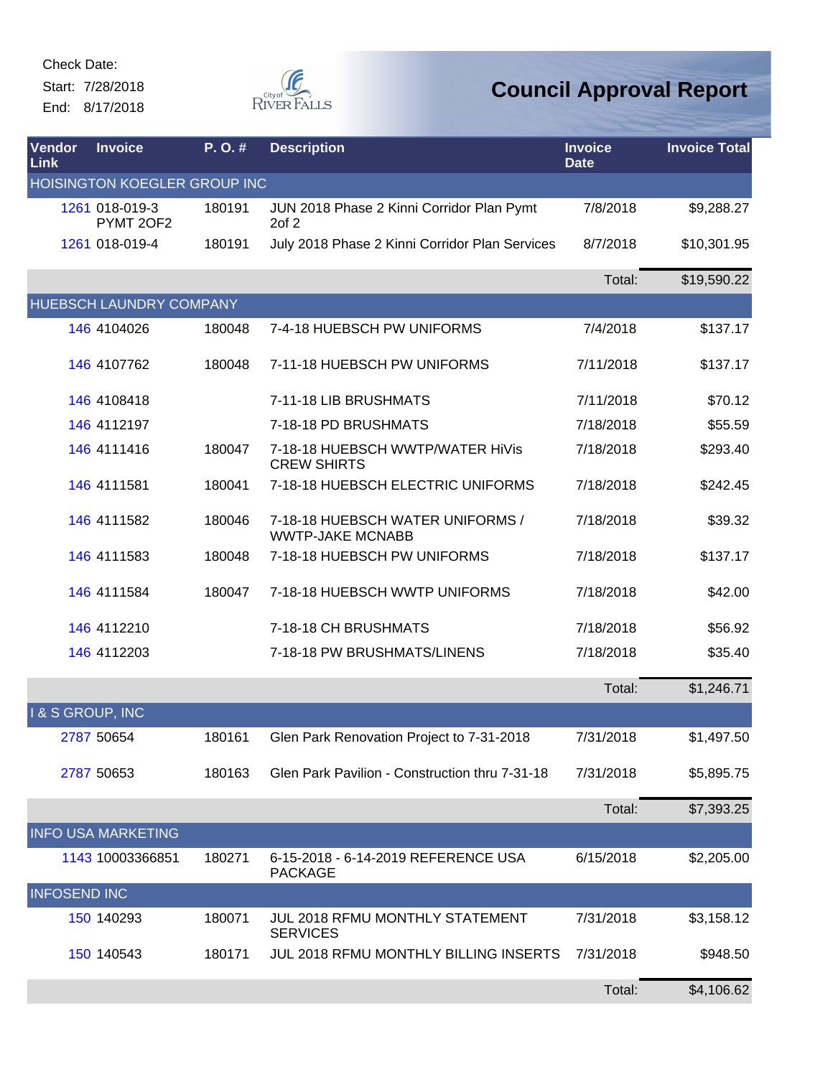Start: 7/28/2018 End: 8/17/2018



| Vendor<br>Link            | <b>Invoice</b>               | P.O.#  | <b>Description</b>                                          | <b>Invoice</b><br><b>Date</b> | <b>Invoice Total</b> |
|---------------------------|------------------------------|--------|-------------------------------------------------------------|-------------------------------|----------------------|
|                           | HOISINGTON KOEGLER GROUP INC |        |                                                             |                               |                      |
|                           | 1261 018-019-3<br>PYMT 2OF2  | 180191 | JUN 2018 Phase 2 Kinni Corridor Plan Pymt<br>$2$ of $2$     | 7/8/2018                      | \$9,288.27           |
|                           | 1261 018-019-4               | 180191 | July 2018 Phase 2 Kinni Corridor Plan Services              | 8/7/2018                      | \$10,301.95          |
|                           |                              |        |                                                             | Total:                        | \$19,590.22          |
|                           | HUEBSCH LAUNDRY COMPANY      |        |                                                             |                               |                      |
|                           | 146 4104026                  | 180048 | 7-4-18 HUEBSCH PW UNIFORMS                                  | 7/4/2018                      | \$137.17             |
|                           | 146 4107762                  | 180048 | 7-11-18 HUEBSCH PW UNIFORMS                                 | 7/11/2018                     | \$137.17             |
|                           | 146 4108418                  |        | 7-11-18 LIB BRUSHMATS                                       | 7/11/2018                     | \$70.12              |
|                           | 146 4112197                  |        | 7-18-18 PD BRUSHMATS                                        | 7/18/2018                     | \$55.59              |
|                           | 146 4111416                  | 180047 | 7-18-18 HUEBSCH WWTP/WATER HIVIS<br><b>CREW SHIRTS</b>      | 7/18/2018                     | \$293.40             |
|                           | 146 4111581                  | 180041 | 7-18-18 HUEBSCH ELECTRIC UNIFORMS                           | 7/18/2018                     | \$242.45             |
|                           | 146 4111582                  | 180046 | 7-18-18 HUEBSCH WATER UNIFORMS /<br><b>WWTP-JAKE MCNABB</b> | 7/18/2018                     | \$39.32              |
|                           | 146 4111583                  | 180048 | 7-18-18 HUEBSCH PW UNIFORMS                                 | 7/18/2018                     | \$137.17             |
|                           | 146 4111584                  | 180047 | 7-18-18 HUEBSCH WWTP UNIFORMS                               | 7/18/2018                     | \$42.00              |
|                           | 146 4112210                  |        | 7-18-18 CH BRUSHMATS                                        | 7/18/2018                     | \$56.92              |
|                           | 146 4112203                  |        | 7-18-18 PW BRUSHMATS/LINENS                                 | 7/18/2018                     | \$35.40              |
|                           |                              |        |                                                             | Total:                        | \$1,246.71           |
| <b>I&amp;S GROUP, INC</b> |                              |        |                                                             |                               |                      |
|                           | 2787 50654                   | 180161 | Glen Park Renovation Project to 7-31-2018                   | 7/31/2018                     | \$1,497.50           |
|                           | 2787 50653                   | 180163 | Glen Park Pavilion - Construction thru 7-31-18              | 7/31/2018                     | \$5,895.75           |
|                           |                              |        |                                                             | Total:                        | \$7,393.25           |
|                           | <b>INFO USA MARKETING</b>    |        |                                                             |                               |                      |
|                           | 1143 10003366851             | 180271 | 6-15-2018 - 6-14-2019 REFERENCE USA<br><b>PACKAGE</b>       | 6/15/2018                     | \$2,205.00           |
| <b>INFOSEND INC</b>       |                              |        |                                                             |                               |                      |
|                           | 150 140293                   | 180071 | JUL 2018 RFMU MONTHLY STATEMENT<br><b>SERVICES</b>          | 7/31/2018                     | \$3,158.12           |
|                           | 150 140543                   | 180171 | <b>JUL 2018 RFMU MONTHLY BILLING INSERTS</b>                | 7/31/2018                     | \$948.50             |
|                           |                              |        |                                                             | Total:                        | \$4,106.62           |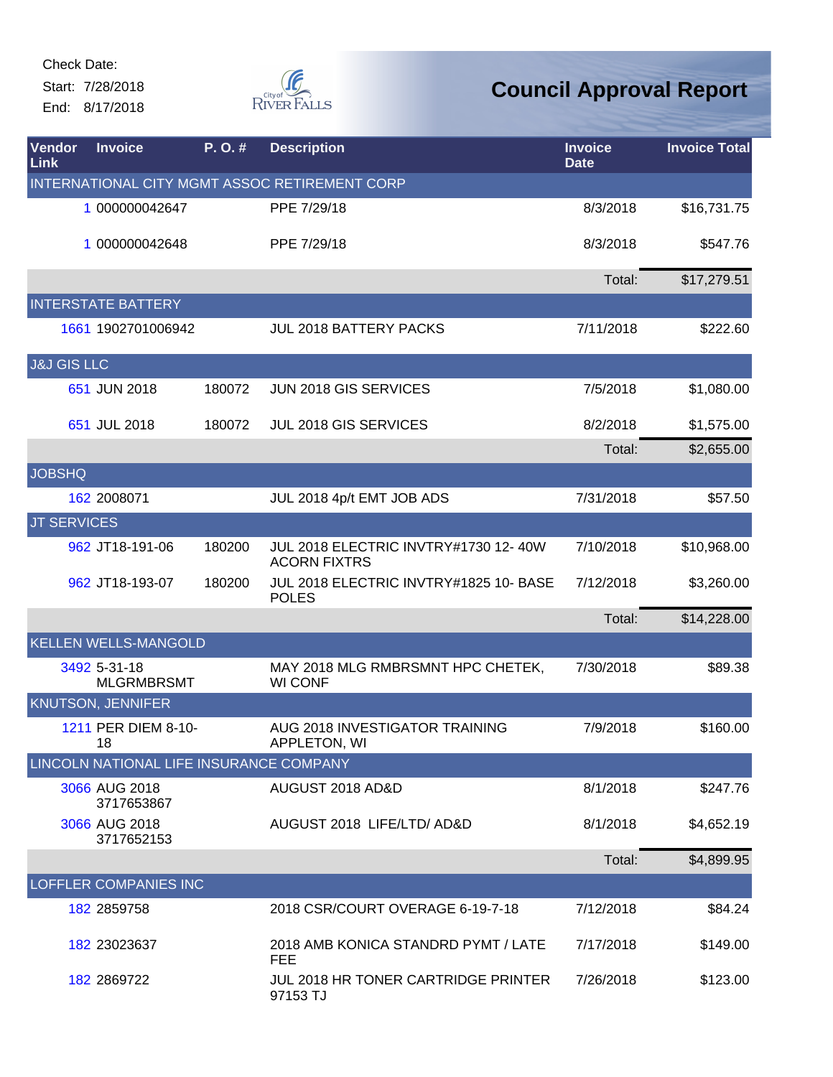Start: 7/28/2018 End: 8/17/2018



| Vendor<br><b>Link</b>  | <b>Invoice</b>                          | P.O.#  | <b>Description</b>                                          | <b>Invoice</b><br><b>Date</b> | <b>Invoice Total</b> |
|------------------------|-----------------------------------------|--------|-------------------------------------------------------------|-------------------------------|----------------------|
|                        |                                         |        | INTERNATIONAL CITY MGMT ASSOC RETIREMENT CORP               |                               |                      |
|                        | 1 000000042647                          |        | PPE 7/29/18                                                 | 8/3/2018                      | \$16,731.75          |
|                        | 1 000000042648                          |        | PPE 7/29/18                                                 | 8/3/2018                      | \$547.76             |
|                        |                                         |        |                                                             | Total:                        | \$17,279.51          |
|                        | <b>INTERSTATE BATTERY</b>               |        |                                                             |                               |                      |
|                        | 1661 1902701006942                      |        | <b>JUL 2018 BATTERY PACKS</b>                               | 7/11/2018                     | \$222.60             |
| <b>J&amp;J GIS LLC</b> |                                         |        |                                                             |                               |                      |
|                        | 651 JUN 2018                            | 180072 | JUN 2018 GIS SERVICES                                       | 7/5/2018                      | \$1,080.00           |
|                        | 651 JUL 2018                            | 180072 | <b>JUL 2018 GIS SERVICES</b>                                | 8/2/2018                      | \$1,575.00           |
|                        |                                         |        |                                                             | Total:                        | \$2,655.00           |
| <b>JOBSHQ</b>          |                                         |        |                                                             |                               |                      |
|                        | 162 2008071                             |        | JUL 2018 4p/t EMT JOB ADS                                   | 7/31/2018                     | \$57.50              |
| <b>JT SERVICES</b>     |                                         |        |                                                             |                               |                      |
|                        | 962 JT18-191-06                         | 180200 | JUL 2018 ELECTRIC INVTRY#1730 12-40W<br><b>ACORN FIXTRS</b> | 7/10/2018                     | \$10,968.00          |
|                        | 962 JT18-193-07                         | 180200 | JUL 2018 ELECTRIC INVTRY#1825 10- BASE<br><b>POLES</b>      | 7/12/2018                     | \$3,260.00           |
|                        |                                         |        |                                                             | Total:                        | \$14,228.00          |
|                        | <b>KELLEN WELLS-MANGOLD</b>             |        |                                                             |                               |                      |
|                        | 3492 5-31-18<br><b>MLGRMBRSMT</b>       |        | MAY 2018 MLG RMBRSMNT HPC CHETEK,<br><b>WI CONF</b>         | 7/30/2018                     | \$89.38              |
|                        | <b>KNUTSON, JENNIFER</b>                |        |                                                             |                               |                      |
|                        | 1211 PER DIEM 8-10-<br>18               |        | AUG 2018 INVESTIGATOR TRAINING<br>APPLETON, WI              | 7/9/2018                      | \$160.00             |
|                        | LINCOLN NATIONAL LIFE INSURANCE COMPANY |        |                                                             |                               |                      |
|                        | 3066 AUG 2018<br>3717653867             |        | AUGUST 2018 AD&D                                            | 8/1/2018                      | \$247.76             |
|                        | 3066 AUG 2018<br>3717652153             |        | AUGUST 2018 LIFE/LTD/ AD&D                                  | 8/1/2018                      | \$4,652.19           |
|                        |                                         |        |                                                             | Total:                        | \$4,899.95           |
|                        | <b>LOFFLER COMPANIES INC</b>            |        |                                                             |                               |                      |
|                        | 182 2859758                             |        | 2018 CSR/COURT OVERAGE 6-19-7-18                            | 7/12/2018                     | \$84.24              |
|                        | 182 23023637                            |        | 2018 AMB KONICA STANDRD PYMT / LATE<br><b>FEE</b>           | 7/17/2018                     | \$149.00             |
|                        | 182 2869722                             |        | JUL 2018 HR TONER CARTRIDGE PRINTER<br>97153 TJ             | 7/26/2018                     | \$123.00             |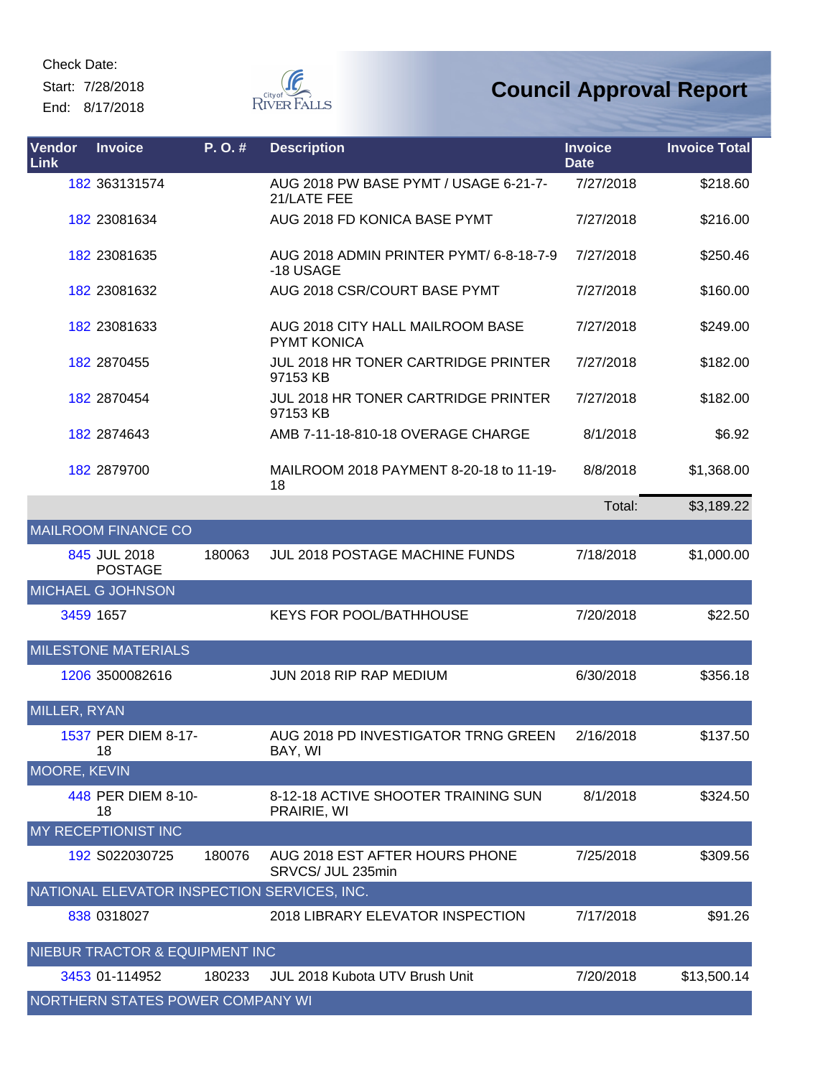Start: 7/28/2018 End: 8/17/2018



| Vendor<br><b>Link</b> | <b>Invoice</b>                              | P.O.#  | <b>Description</b>                                     | <b>Invoice</b><br><b>Date</b> | <b>Invoice Total</b> |
|-----------------------|---------------------------------------------|--------|--------------------------------------------------------|-------------------------------|----------------------|
|                       | 182 363131574                               |        | AUG 2018 PW BASE PYMT / USAGE 6-21-7-<br>21/LATE FEE   | 7/27/2018                     | \$218.60             |
|                       | 182 23081634                                |        | AUG 2018 FD KONICA BASE PYMT                           | 7/27/2018                     | \$216.00             |
|                       | 182 23081635                                |        | AUG 2018 ADMIN PRINTER PYMT/ 6-8-18-7-9<br>-18 USAGE   | 7/27/2018                     | \$250.46             |
|                       | 182 23081632                                |        | AUG 2018 CSR/COURT BASE PYMT                           | 7/27/2018                     | \$160.00             |
|                       | 182 23081633                                |        | AUG 2018 CITY HALL MAILROOM BASE<br><b>PYMT KONICA</b> | 7/27/2018                     | \$249.00             |
|                       | 182 2870455                                 |        | <b>JUL 2018 HR TONER CARTRIDGE PRINTER</b><br>97153 KB | 7/27/2018                     | \$182.00             |
|                       | 182 2870454                                 |        | JUL 2018 HR TONER CARTRIDGE PRINTER<br>97153 KB        | 7/27/2018                     | \$182.00             |
|                       | 182 2874643                                 |        | AMB 7-11-18-810-18 OVERAGE CHARGE                      | 8/1/2018                      | \$6.92               |
|                       | 182 2879700                                 |        | MAILROOM 2018 PAYMENT 8-20-18 to 11-19-<br>18          | 8/8/2018                      | \$1,368.00           |
|                       |                                             |        |                                                        | Total:                        | \$3,189.22           |
|                       | <b>MAILROOM FINANCE CO</b>                  |        |                                                        |                               |                      |
|                       | 845 JUL 2018<br><b>POSTAGE</b>              | 180063 | <b>JUL 2018 POSTAGE MACHINE FUNDS</b>                  | 7/18/2018                     | \$1,000.00           |
|                       | MICHAEL G JOHNSON                           |        |                                                        |                               |                      |
|                       | 3459 1657                                   |        | <b>KEYS FOR POOL/BATHHOUSE</b>                         | 7/20/2018                     | \$22.50              |
|                       | <b>MILESTONE MATERIALS</b>                  |        |                                                        |                               |                      |
|                       | 1206 3500082616                             |        | JUN 2018 RIP RAP MEDIUM                                | 6/30/2018                     | \$356.18             |
| MILLER, RYAN          |                                             |        |                                                        |                               |                      |
|                       | 1537 PER DIEM 8-17-<br>18                   |        | AUG 2018 PD INVESTIGATOR TRNG GREEN<br>BAY, WI         | 2/16/2018                     | \$137.50             |
| <b>MOORE, KEVIN</b>   |                                             |        |                                                        |                               |                      |
|                       | 448 PER DIEM 8-10-<br>18                    |        | 8-12-18 ACTIVE SHOOTER TRAINING SUN<br>PRAIRIE, WI     | 8/1/2018                      | \$324.50             |
|                       | MY RECEPTIONIST INC                         |        |                                                        |                               |                      |
|                       | 192 S022030725                              | 180076 | AUG 2018 EST AFTER HOURS PHONE<br>SRVCS/ JUL 235min    | 7/25/2018                     | \$309.56             |
|                       | NATIONAL ELEVATOR INSPECTION SERVICES, INC. |        |                                                        |                               |                      |
|                       | 838 0318027                                 |        | 2018 LIBRARY ELEVATOR INSPECTION                       | 7/17/2018                     | \$91.26              |
|                       | NIEBUR TRACTOR & EQUIPMENT INC              |        |                                                        |                               |                      |
|                       | 3453 01-114952                              | 180233 | <b>JUL 2018 Kubota UTV Brush Unit</b>                  | 7/20/2018                     | \$13,500.14          |
|                       | NORTHERN STATES POWER COMPANY WI            |        |                                                        |                               |                      |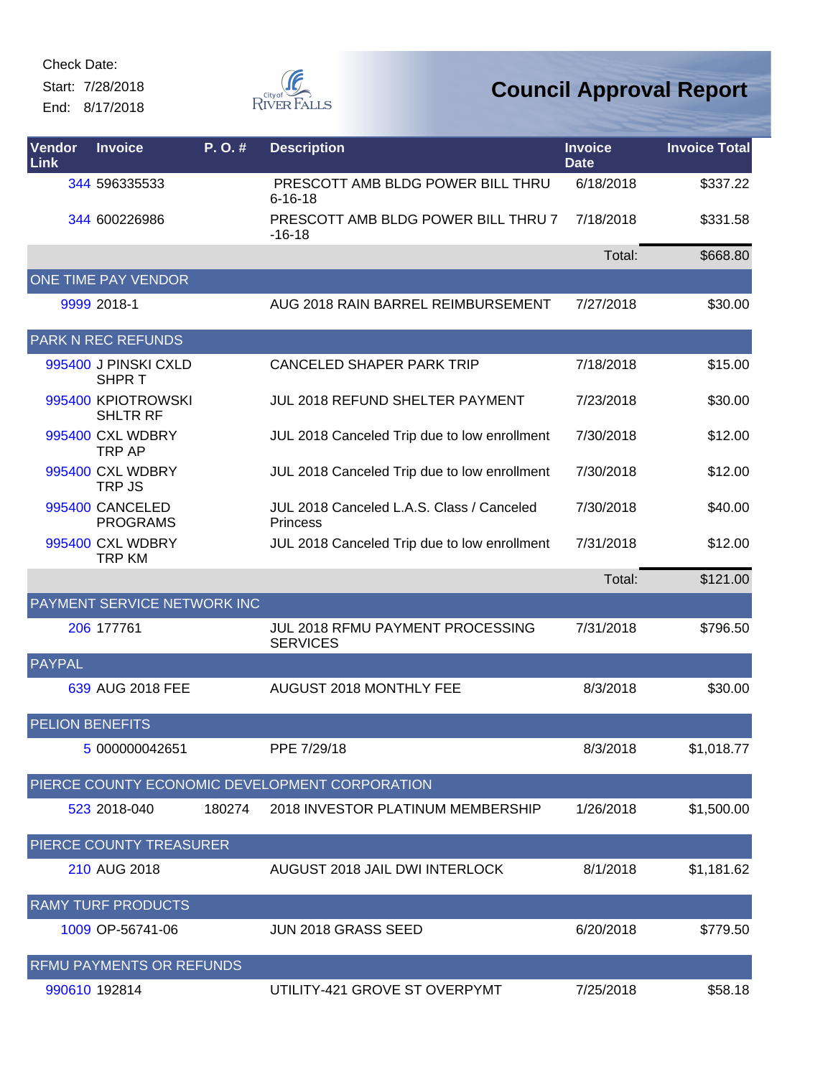Start: 7/28/2018 End: 8/17/2018



| <b>Vendor</b><br><b>Link</b> | <b>Invoice</b>                        | P.O.#  | <b>Description</b>                                           | <b>Invoice</b><br><b>Date</b> | <b>Invoice Total</b> |
|------------------------------|---------------------------------------|--------|--------------------------------------------------------------|-------------------------------|----------------------|
|                              | 344 596335533                         |        | PRESCOTT AMB BLDG POWER BILL THRU<br>$6 - 16 - 18$           | 6/18/2018                     | \$337.22             |
|                              | 344 600226986                         |        | PRESCOTT AMB BLDG POWER BILL THRU 7<br>$-16-18$              | 7/18/2018                     | \$331.58             |
|                              |                                       |        |                                                              | Total:                        | \$668.80             |
|                              | ONE TIME PAY VENDOR                   |        |                                                              |                               |                      |
|                              | 9999 2018-1                           |        | AUG 2018 RAIN BARREL REIMBURSEMENT                           | 7/27/2018                     | \$30.00              |
|                              | <b>PARK N REC REFUNDS</b>             |        |                                                              |                               |                      |
|                              | 995400 J PINSKI CXLD<br>SHPR T        |        | <b>CANCELED SHAPER PARK TRIP</b>                             | 7/18/2018                     | \$15.00              |
|                              | 995400 KPIOTROWSKI<br><b>SHLTR RF</b> |        | JUL 2018 REFUND SHELTER PAYMENT                              | 7/23/2018                     | \$30.00              |
|                              | 995400 CXL WDBRY<br>TRP AP            |        | JUL 2018 Canceled Trip due to low enrollment                 | 7/30/2018                     | \$12.00              |
|                              | 995400 CXL WDBRY<br>TRP JS            |        | JUL 2018 Canceled Trip due to low enrollment                 | 7/30/2018                     | \$12.00              |
|                              | 995400 CANCELED<br><b>PROGRAMS</b>    |        | JUL 2018 Canceled L.A.S. Class / Canceled<br><b>Princess</b> | 7/30/2018                     | \$40.00              |
|                              | 995400 CXL WDBRY<br><b>TRP KM</b>     |        | JUL 2018 Canceled Trip due to low enrollment                 | 7/31/2018                     | \$12.00              |
|                              |                                       |        |                                                              | Total:                        | \$121.00             |
|                              | PAYMENT SERVICE NETWORK INC           |        |                                                              |                               |                      |
|                              | 206 177761                            |        | JUL 2018 RFMU PAYMENT PROCESSING<br><b>SERVICES</b>          | 7/31/2018                     | \$796.50             |
| <b>PAYPAL</b>                |                                       |        |                                                              |                               |                      |
|                              | 639 AUG 2018 FEE                      |        | AUGUST 2018 MONTHLY FEE                                      | 8/3/2018                      | \$30.00              |
| <b>PELION BENEFITS</b>       |                                       |        |                                                              |                               |                      |
|                              | 5 000000042651                        |        | PPE 7/29/18                                                  | 8/3/2018                      | \$1,018.77           |
|                              |                                       |        | PIERCE COUNTY ECONOMIC DEVELOPMENT CORPORATION               |                               |                      |
|                              | 523 2018-040                          | 180274 | 2018 INVESTOR PLATINUM MEMBERSHIP                            | 1/26/2018                     | \$1,500.00           |
|                              | PIERCE COUNTY TREASURER               |        |                                                              |                               |                      |
|                              | 210 AUG 2018                          |        | AUGUST 2018 JAIL DWI INTERLOCK                               | 8/1/2018                      | \$1,181.62           |
|                              | <b>RAMY TURF PRODUCTS</b>             |        |                                                              |                               |                      |
|                              | 1009 OP-56741-06                      |        | <b>JUN 2018 GRASS SEED</b>                                   | 6/20/2018                     | \$779.50             |
|                              | RFMU PAYMENTS OR REFUNDS              |        |                                                              |                               |                      |
|                              | 990610 192814                         |        | UTILITY-421 GROVE ST OVERPYMT                                | 7/25/2018                     | \$58.18              |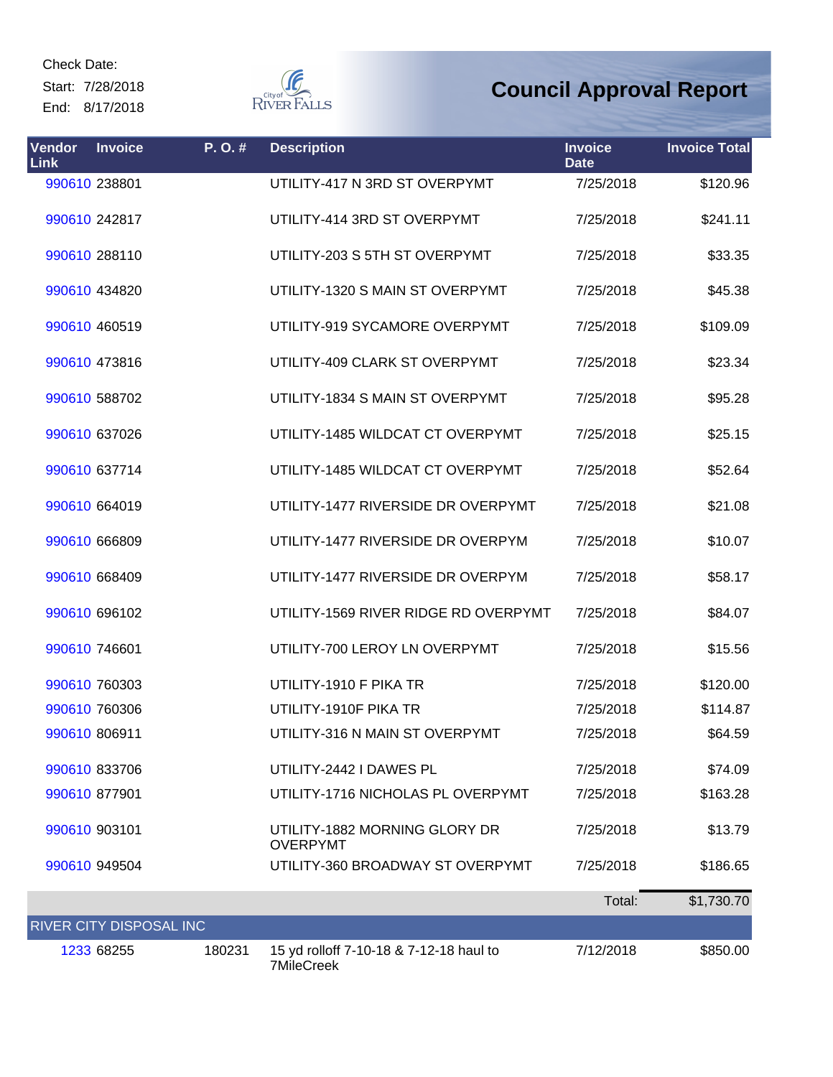Start: 7/28/2018 End: 8/17/2018



| Vendor<br>Link          | <b>Invoice</b> | P.O.#  | <b>Description</b>                                           | <b>Invoice</b><br><b>Date</b> | <b>Invoice Total</b> |
|-------------------------|----------------|--------|--------------------------------------------------------------|-------------------------------|----------------------|
|                         | 990610 238801  |        | UTILITY-417 N 3RD ST OVERPYMT                                | 7/25/2018                     | \$120.96             |
|                         | 990610 242817  |        | UTILITY-414 3RD ST OVERPYMT                                  | 7/25/2018                     | \$241.11             |
|                         | 990610 288110  |        | UTILITY-203 S 5TH ST OVERPYMT                                | 7/25/2018                     | \$33.35              |
|                         | 990610 434820  |        | UTILITY-1320 S MAIN ST OVERPYMT                              | 7/25/2018                     | \$45.38              |
|                         | 990610 460519  |        | UTILITY-919 SYCAMORE OVERPYMT                                | 7/25/2018                     | \$109.09             |
|                         | 990610 473816  |        | UTILITY-409 CLARK ST OVERPYMT                                | 7/25/2018                     | \$23.34              |
|                         | 990610 588702  |        | UTILITY-1834 S MAIN ST OVERPYMT                              | 7/25/2018                     | \$95.28              |
|                         | 990610 637026  |        | UTILITY-1485 WILDCAT CT OVERPYMT                             | 7/25/2018                     | \$25.15              |
|                         | 990610 637714  |        | UTILITY-1485 WILDCAT CT OVERPYMT                             | 7/25/2018                     | \$52.64              |
|                         | 990610 664019  |        | UTILITY-1477 RIVERSIDE DR OVERPYMT                           | 7/25/2018                     | \$21.08              |
|                         | 990610 666809  |        | UTILITY-1477 RIVERSIDE DR OVERPYM                            | 7/25/2018                     | \$10.07              |
|                         | 990610 668409  |        | UTILITY-1477 RIVERSIDE DR OVERPYM                            | 7/25/2018                     | \$58.17              |
|                         | 990610 696102  |        | UTILITY-1569 RIVER RIDGE RD OVERPYMT                         | 7/25/2018                     | \$84.07              |
|                         | 990610 746601  |        | UTILITY-700 LEROY LN OVERPYMT                                | 7/25/2018                     | \$15.56              |
|                         | 990610 760303  |        | UTILITY-1910 F PIKA TR                                       | 7/25/2018                     | \$120.00             |
|                         | 990610 760306  |        | UTILITY-1910F PIKA TR                                        | 7/25/2018                     | \$114.87             |
|                         | 990610 806911  |        | UTILITY-316 N MAIN ST OVERPYMT                               | 7/25/2018                     | \$64.59              |
|                         | 990610 833706  |        | UTILITY-2442 I DAWES PL                                      | 7/25/2018                     | \$74.09              |
|                         | 990610 877901  |        | UTILITY-1716 NICHOLAS PL OVERPYMT                            | 7/25/2018                     | \$163.28             |
| 990610 903101           |                |        | UTILITY-1882 MORNING GLORY DR<br><b>OVERPYMT</b>             | 7/25/2018                     | \$13.79              |
|                         | 990610 949504  |        | UTILITY-360 BROADWAY ST OVERPYMT                             | 7/25/2018                     | \$186.65             |
|                         |                |        |                                                              | Total:                        | \$1,730.70           |
| RIVER CITY DISPOSAL INC |                |        |                                                              |                               |                      |
|                         | 1233 68255     | 180231 | 15 yd rolloff 7-10-18 & 7-12-18 haul to<br><b>7MileCreek</b> | 7/12/2018                     | \$850.00             |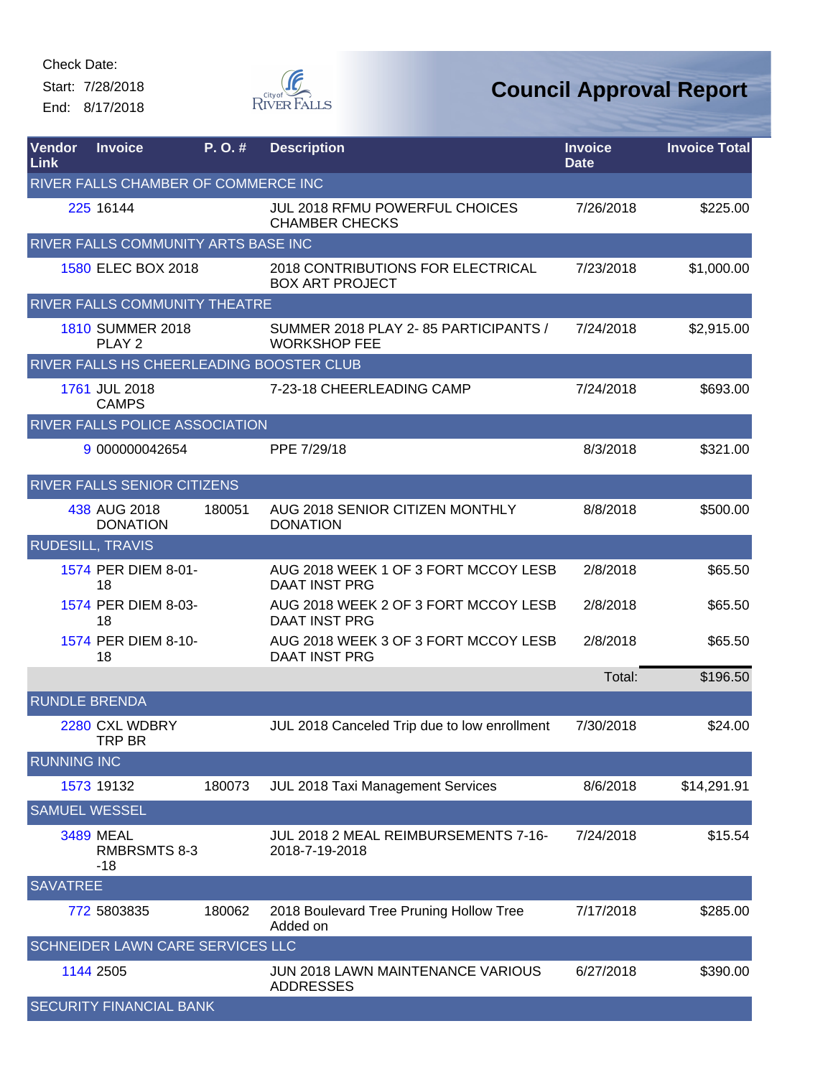Start: 7/28/2018 End: 8/17/2018



| Vendor<br>Link       | <b>Invoice</b>                                 | P.O.#  | <b>Description</b>                                           | <b>Invoice</b><br><b>Date</b> | <b>Invoice Total</b> |
|----------------------|------------------------------------------------|--------|--------------------------------------------------------------|-------------------------------|----------------------|
|                      | RIVER FALLS CHAMBER OF COMMERCE INC            |        |                                                              |                               |                      |
|                      | 225 16144                                      |        | JUL 2018 RFMU POWERFUL CHOICES<br><b>CHAMBER CHECKS</b>      | 7/26/2018                     | \$225.00             |
|                      | RIVER FALLS COMMUNITY ARTS BASE INC            |        |                                                              |                               |                      |
|                      | 1580 ELEC BOX 2018                             |        | 2018 CONTRIBUTIONS FOR ELECTRICAL<br><b>BOX ART PROJECT</b>  | 7/23/2018                     | \$1,000.00           |
|                      | RIVER FALLS COMMUNITY THEATRE                  |        |                                                              |                               |                      |
|                      | <b>1810 SUMMER 2018</b><br>PLAY <sub>2</sub>   |        | SUMMER 2018 PLAY 2-85 PARTICIPANTS /<br><b>WORKSHOP FEE</b>  | 7/24/2018                     | \$2,915.00           |
|                      | RIVER FALLS HS CHEERLEADING BOOSTER CLUB       |        |                                                              |                               |                      |
|                      | 1761 JUL 2018<br><b>CAMPS</b>                  |        | 7-23-18 CHEERLEADING CAMP                                    | 7/24/2018                     | \$693.00             |
|                      | RIVER FALLS POLICE ASSOCIATION                 |        |                                                              |                               |                      |
|                      | 9 000000042654                                 |        | PPE 7/29/18                                                  | 8/3/2018                      | \$321.00             |
|                      | <b>RIVER FALLS SENIOR CITIZENS</b>             |        |                                                              |                               |                      |
|                      | 438 AUG 2018<br><b>DONATION</b>                | 180051 | AUG 2018 SENIOR CITIZEN MONTHLY<br><b>DONATION</b>           | 8/8/2018                      | \$500.00             |
|                      | <b>RUDESILL, TRAVIS</b>                        |        |                                                              |                               |                      |
|                      | 1574 PER DIEM 8-01-<br>18                      |        | AUG 2018 WEEK 1 OF 3 FORT MCCOY LESB<br><b>DAAT INST PRG</b> | 2/8/2018                      | \$65.50              |
|                      | 1574 PER DIEM 8-03-<br>18                      |        | AUG 2018 WEEK 2 OF 3 FORT MCCOY LESB<br><b>DAAT INST PRG</b> | 2/8/2018                      | \$65.50              |
|                      | 1574 PER DIEM 8-10-<br>18                      |        | AUG 2018 WEEK 3 OF 3 FORT MCCOY LESB<br><b>DAAT INST PRG</b> | 2/8/2018                      | \$65.50              |
|                      |                                                |        |                                                              | Total:                        | \$196.50             |
| <b>RUNDLE BRENDA</b> |                                                |        |                                                              |                               |                      |
|                      | 2280 CXL WDBRY<br>TRP BR                       |        | JUL 2018 Canceled Trip due to low enrollment                 | 7/30/2018                     | \$24.00              |
| <b>RUNNING INC</b>   |                                                |        |                                                              |                               |                      |
|                      | 1573 19132                                     | 180073 | JUL 2018 Taxi Management Services                            | 8/6/2018                      | \$14,291.91          |
| <b>SAMUEL WESSEL</b> |                                                |        |                                                              |                               |                      |
|                      | <b>3489 MEAL</b><br><b>RMBRSMTS 8-3</b><br>-18 |        | JUL 2018 2 MEAL REIMBURSEMENTS 7-16-<br>2018-7-19-2018       | 7/24/2018                     | \$15.54              |
| <b>SAVATREE</b>      |                                                |        |                                                              |                               |                      |
|                      | 772 5803835                                    | 180062 | 2018 Boulevard Tree Pruning Hollow Tree<br>Added on          | 7/17/2018                     | \$285.00             |
|                      | <b>SCHNEIDER LAWN CARE SERVICES LLC</b>        |        |                                                              |                               |                      |
|                      | 1144 2505                                      |        | JUN 2018 LAWN MAINTENANCE VARIOUS<br><b>ADDRESSES</b>        | 6/27/2018                     | \$390.00             |
|                      | SECURITY FINANCIAL BANK                        |        |                                                              |                               |                      |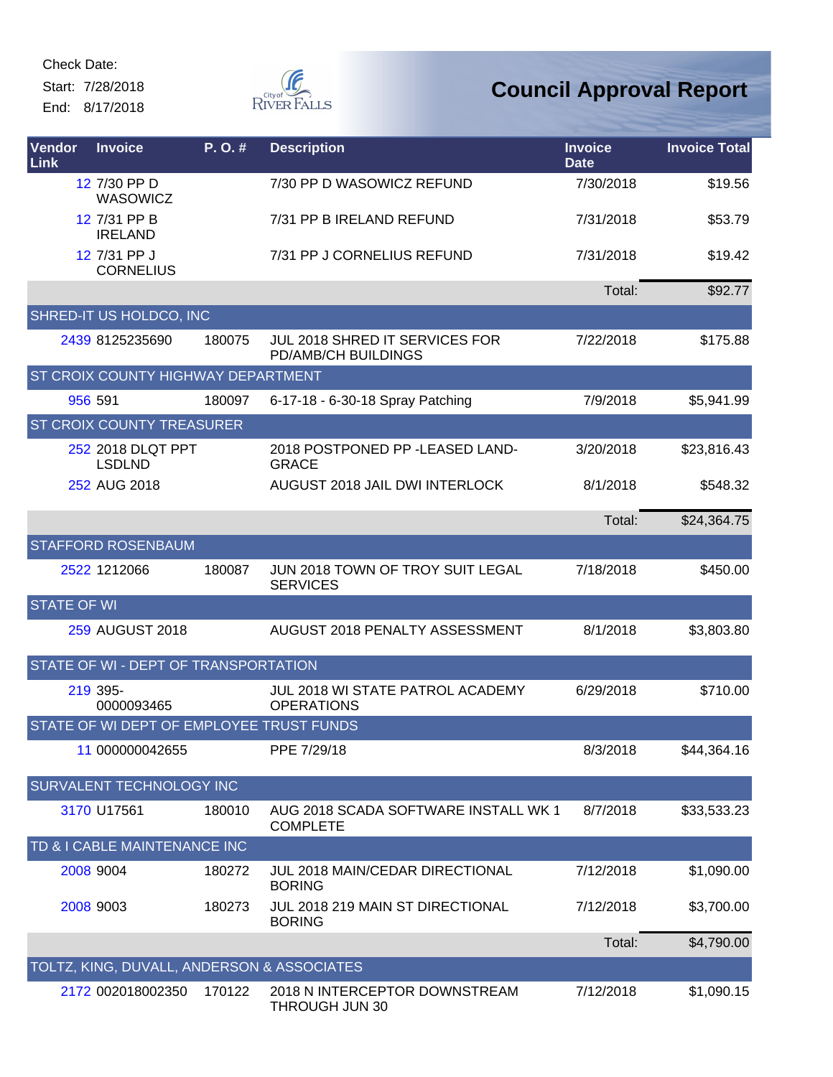Start: 7/28/2018 End: 8/17/2018



| Vendor<br>Link     | <b>Invoice</b>                             | P.O.#  | <b>Description</b>                                           | <b>Invoice</b><br><b>Date</b> | <b>Invoice Total</b> |
|--------------------|--------------------------------------------|--------|--------------------------------------------------------------|-------------------------------|----------------------|
|                    | 12 7/30 PP D<br><b>WASOWICZ</b>            |        | 7/30 PP D WASOWICZ REFUND                                    | 7/30/2018                     | \$19.56              |
|                    | 12 7/31 PP B<br><b>IRELAND</b>             |        | 7/31 PP B IRELAND REFUND                                     | 7/31/2018                     | \$53.79              |
|                    | 12 7/31 PP J<br><b>CORNELIUS</b>           |        | 7/31 PP J CORNELIUS REFUND                                   | 7/31/2018                     | \$19.42              |
|                    |                                            |        |                                                              | Total:                        | \$92.77              |
|                    | SHRED-IT US HOLDCO, INC                    |        |                                                              |                               |                      |
|                    | 2439 8125235690                            | 180075 | JUL 2018 SHRED IT SERVICES FOR<br>PD/AMB/CH BUILDINGS        | 7/22/2018                     | \$175.88             |
|                    | ST CROIX COUNTY HIGHWAY DEPARTMENT         |        |                                                              |                               |                      |
|                    | 956 591                                    | 180097 | 6-17-18 - 6-30-18 Spray Patching                             | 7/9/2018                      | \$5,941.99           |
|                    | <b>ST CROIX COUNTY TREASURER</b>           |        |                                                              |                               |                      |
|                    | 252 2018 DLQT PPT<br><b>LSDLND</b>         |        | 2018 POSTPONED PP -LEASED LAND-<br><b>GRACE</b>              | 3/20/2018                     | \$23,816.43          |
|                    | 252 AUG 2018                               |        | <b>AUGUST 2018 JAIL DWI INTERLOCK</b>                        | 8/1/2018                      | \$548.32             |
|                    |                                            |        |                                                              | Total:                        | \$24,364.75          |
|                    | <b>STAFFORD ROSENBAUM</b>                  |        |                                                              |                               |                      |
|                    | 2522 1212066                               | 180087 | JUN 2018 TOWN OF TROY SUIT LEGAL<br><b>SERVICES</b>          | 7/18/2018                     | \$450.00             |
| <b>STATE OF WI</b> |                                            |        |                                                              |                               |                      |
|                    | 259 AUGUST 2018                            |        | AUGUST 2018 PENALTY ASSESSMENT                               | 8/1/2018                      | \$3,803.80           |
|                    | STATE OF WI - DEPT OF TRANSPORTATION       |        |                                                              |                               |                      |
|                    | 219 395-<br>0000093465                     |        | <b>JUL 2018 WI STATE PATROL ACADEMY</b><br><b>OPERATIONS</b> | 6/29/2018                     | \$710.00             |
|                    | STATE OF WI DEPT OF EMPLOYEE TRUST FUNDS   |        |                                                              |                               |                      |
|                    | 11 000000042655                            |        | PPE 7/29/18                                                  | 8/3/2018                      | \$44,364.16          |
|                    | SURVALENT TECHNOLOGY INC                   |        |                                                              |                               |                      |
|                    | 3170 U17561                                | 180010 | AUG 2018 SCADA SOFTWARE INSTALL WK 1<br><b>COMPLETE</b>      | 8/7/2018                      | \$33,533.23          |
|                    | TD & I CABLE MAINTENANCE INC               |        |                                                              |                               |                      |
|                    | 2008 9004                                  | 180272 | <b>JUL 2018 MAIN/CEDAR DIRECTIONAL</b><br><b>BORING</b>      | 7/12/2018                     | \$1,090.00           |
|                    | 2008 9003                                  | 180273 | JUL 2018 219 MAIN ST DIRECTIONAL<br><b>BORING</b>            | 7/12/2018                     | \$3,700.00           |
|                    |                                            |        |                                                              | Total:                        | \$4,790.00           |
|                    | TOLTZ, KING, DUVALL, ANDERSON & ASSOCIATES |        |                                                              |                               |                      |
|                    | 2172 002018002350                          | 170122 | 2018 N INTERCEPTOR DOWNSTREAM<br>THROUGH JUN 30              | 7/12/2018                     | \$1,090.15           |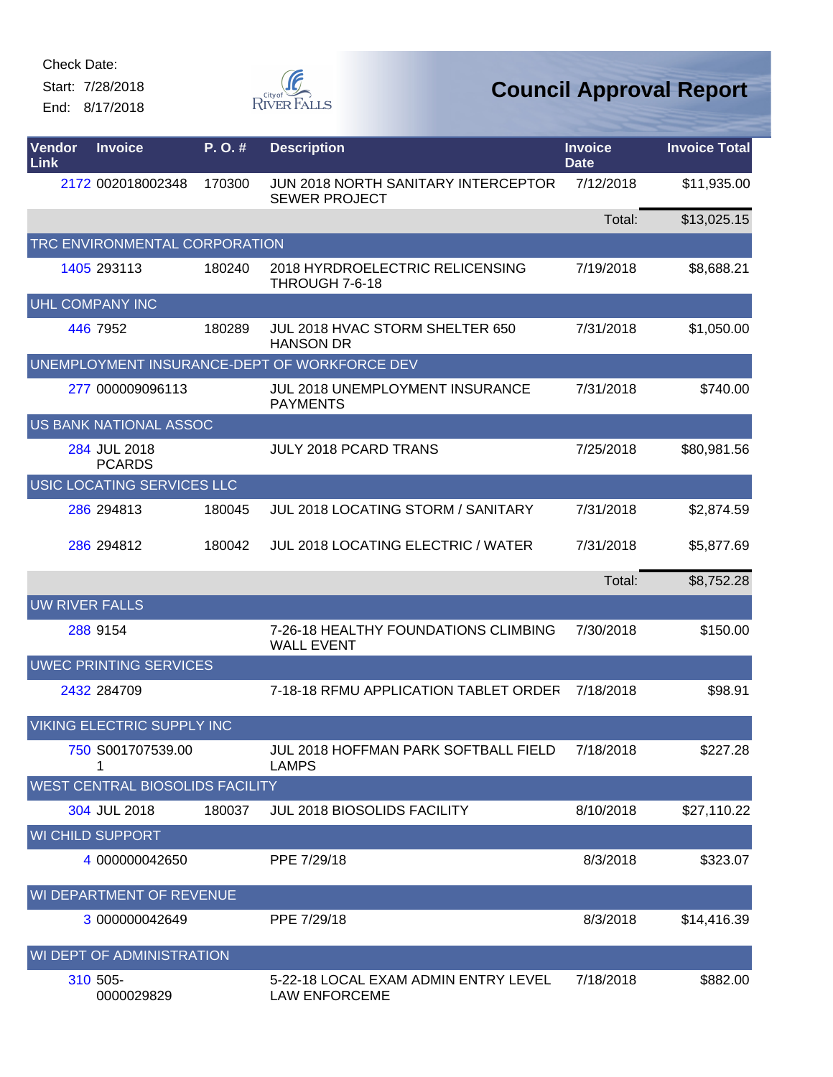Start: 7/28/2018 End: 8/17/2018



| Vendor<br>Link | <b>Invoice</b>                         | P. O. # | <b>Description</b>                                           | <b>Invoice</b><br><b>Date</b> | <b>Invoice Total</b> |
|----------------|----------------------------------------|---------|--------------------------------------------------------------|-------------------------------|----------------------|
|                | 2172 002018002348                      | 170300  | JUN 2018 NORTH SANITARY INTERCEPTOR<br><b>SEWER PROJECT</b>  | 7/12/2018                     | \$11,935.00          |
|                |                                        |         |                                                              | Total:                        | \$13,025.15          |
|                | TRC ENVIRONMENTAL CORPORATION          |         |                                                              |                               |                      |
|                | 1405 293113                            | 180240  | 2018 HYRDROELECTRIC RELICENSING<br>THROUGH 7-6-18            | 7/19/2018                     | \$8,688.21           |
|                | UHL COMPANY INC                        |         |                                                              |                               |                      |
|                | 446 7952                               | 180289  | JUL 2018 HVAC STORM SHELTER 650<br><b>HANSON DR</b>          | 7/31/2018                     | \$1,050.00           |
|                |                                        |         | UNEMPLOYMENT INSURANCE-DEPT OF WORKFORCE DEV                 |                               |                      |
|                | 277 000009096113                       |         | <b>JUL 2018 UNEMPLOYMENT INSURANCE</b><br><b>PAYMENTS</b>    | 7/31/2018                     | \$740.00             |
|                | <b>US BANK NATIONAL ASSOC</b>          |         |                                                              |                               |                      |
|                | 284 JUL 2018<br><b>PCARDS</b>          |         | <b>JULY 2018 PCARD TRANS</b>                                 | 7/25/2018                     | \$80,981.56          |
|                | USIC LOCATING SERVICES LLC             |         |                                                              |                               |                      |
|                | 286 294813                             | 180045  | <b>JUL 2018 LOCATING STORM / SANITARY</b>                    | 7/31/2018                     | \$2,874.59           |
|                | 286 294812                             | 180042  | <b>JUL 2018 LOCATING ELECTRIC / WATER</b>                    | 7/31/2018                     | \$5,877.69           |
|                |                                        |         |                                                              | Total:                        | \$8,752.28           |
|                | <b>UW RIVER FALLS</b>                  |         |                                                              |                               |                      |
|                | 288 9154                               |         | 7-26-18 HEALTHY FOUNDATIONS CLIMBING<br><b>WALL EVENT</b>    | 7/30/2018                     | \$150.00             |
|                | <b>UWEC PRINTING SERVICES</b>          |         |                                                              |                               |                      |
|                | 2432 284709                            |         | 7-18-18 RFMU APPLICATION TABLET ORDER                        | 7/18/2018                     | \$98.91              |
|                | <b>VIKING ELECTRIC SUPPLY INC</b>      |         |                                                              |                               |                      |
|                | 750 S001707539.00<br>1                 |         | <b>JUL 2018 HOFFMAN PARK SOFTBALL FIELD</b><br><b>LAMPS</b>  | 7/18/2018                     | \$227.28             |
|                | <b>WEST CENTRAL BIOSOLIDS FACILITY</b> |         |                                                              |                               |                      |
|                | 304 JUL 2018                           | 180037  | <b>JUL 2018 BIOSOLIDS FACILITY</b>                           | 8/10/2018                     | \$27,110.22          |
|                | <b>WI CHILD SUPPORT</b>                |         |                                                              |                               |                      |
|                | 4 000000042650                         |         | PPE 7/29/18                                                  | 8/3/2018                      | \$323.07             |
|                | WI DEPARTMENT OF REVENUE               |         |                                                              |                               |                      |
|                | 3 000000042649                         |         | PPE 7/29/18                                                  | 8/3/2018                      | \$14,416.39          |
|                | WI DEPT OF ADMINISTRATION              |         |                                                              |                               |                      |
|                | 310 505-<br>0000029829                 |         | 5-22-18 LOCAL EXAM ADMIN ENTRY LEVEL<br><b>LAW ENFORCEME</b> | 7/18/2018                     | \$882.00             |